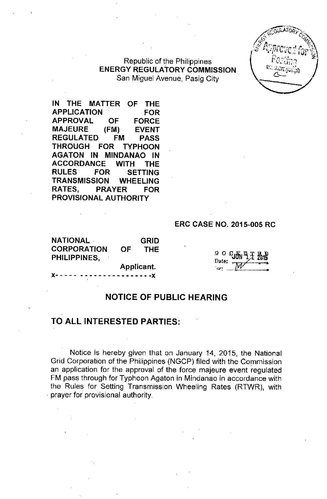Republic of the Philippines **ENERGY REGULATORY COMMISSION** San Miguel Avenue, Pasig City

**IN THE MATTER OF THE APPLICATION FOR APPROVAL OF FORCE MAJEURE (FM) EVENT REGULATED FM PASS THROUGH FOR TYPHOON AGATON IN MINDANAO IN ACCORDANCE WITH THE RULES FOR SETTING TRANSMISSION WHEELING RATES, PRAYER FOR PROVISIONAL AUTHORITY**

#### **ERC CASE NO. 2015-005 RC**

**NATIONAL GRID CORPORATION OF THE PHILIPPINES,**

**Applicant.**

**x- - - - - - - - - - - - - - - - - - - - -x**

*<sup>Q</sup>* 0%~li~i **?ate: .,\_,\_.... \_\_.....•\_.\_,!I** *"::.f~ • ••••***<sup>4</sup> ••••••••••• \_**

### **NOTICE OF PUBLIC HEARING**

# **TO ALL INTERESTED PARTIES:**

Notice is hereby given that on January 14, 2015, the National Grid Corporation of the Philippines (NGCP) filed with the Commission an application for the approval of the force majeure event regulated FM pass through for Typhoon Agaton in Mindanao in accordance with the Rules for Setting Transmission Wheeling Rates (RTWR), with . prayer for provisional authority.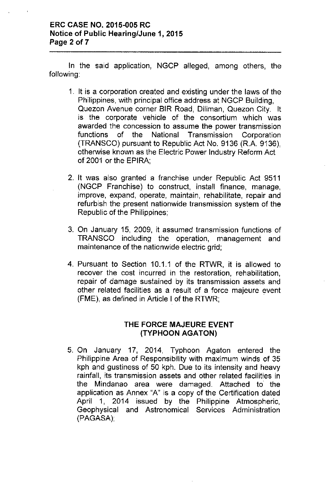In the said application, NGCP alleged, among others, the following:

- 1. It is a corporation created and existing under the laws of the Philippines, with principal office address at NGCP Building, Quezon Avenue corner BIR Road, Diliman, Quezon City. It is the corporate vehicle of the consortium which was awarded the concession to assume the power transmission functions of the National Transmission Corporation (TRANSCO) pursuant to Republic Act No. 9136 (R.A. 9136), otherwise known as the Electric Power Industry Reform Act of 2001 or the EPIRA;
- 2. It was also granted a franchise under Republic Act 9511 (NGCP Franchise) to construct, install finance, manage, improve, expand, operate, maintain, rehabilitate, repair and refurbish the present nationwide transmission system of the Republic of the Philippines;
- 3. On January 15, 2009, it assumed transmission functions of TRANSCO including the operation, management and maintenance of the nationwide electric grid;
- 4. Pursuant to Section 10.1.1 of the RTWR, it is allowed to recover the cost incurred in the restoration, rehabilitation, repair of damage sustained by its transmission assets and other related facilities as a result of a force majeure event (FME), as defined in Article I of the RTWR;

# **THE FORCE MAJEURE EVENT (TYPHOON AGATON)**

5. On January 17, 2014, Typhoon Agaton entered the Philippine Area of Responsibility with maximum winds of 35 kph and gustiness of 50 kph. Due to its intensity and heavy rainfall, its transmission assets and other related facilities in the Mindanao area were damaged. Attached to the application as Annex "A" is a copy of the Certification dated April 1, 2014 issued by the Philippine Atmospheric, Geophysical and Astronomical Services Administration (PAGASA);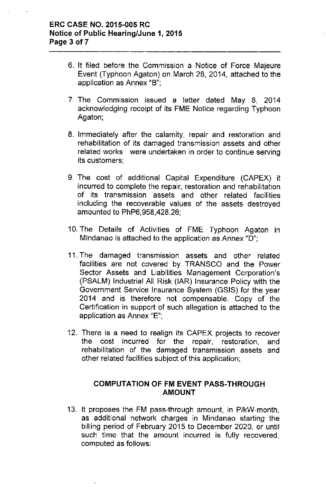- 6. **It** filed before the Commission a Notice **of** Force Majeure Event (Typhoon Agaton) on March 28, 2014, attached to the application as Annex "B";
- 7. The Commission issued a letter dated May 8, 2014 acknowledging receipt of its FME Notice regarding Typhoon Agaton;
- 8. Immediately after the calamity, repair and restoration and rehabilitation of its damaged transmission assets and other related works were undertaken in order to continue serving its customers;
- 9. The cost of additional Capital Expenditure (CAPEX) it incurred to complete the repair, restoration and rehabilitation of its transmission assets and other related facilities including the recoverable values of the assets destroyed amounted to PhP6,958,428.26;
- 10. The Details of Activities of FME Typhoon Agaton in Mindanao is attached to the application as Annex "D";
- **11 .** The damaged transmission assets and other related facilities are not covered by TRANSCO and the Power Sector Assets and Liabilities Management Corporation's (PSALM) Industrial All Risk (IAR) Insurance Policy with the Government Service Insurance System (GSIS) for the year 2014 and is therefore not compensable. Copy of the Certification in support of such allegation is attached to the application as Annex "E";
- 12. There is a need to realign its CAPEX projects to recover the cost incurred for the repair, restoration, and rehabilitation of the damaged transmission assets and other related facilities subject of this application;

### **COMPUTATION OF FM EVENT PASS-THROUGH AMOUNT**

13. It proposes the FM pass-through amount, in P/kW-month, as additional network charges in Mindanao starting the billing period of February 2015 to December 2020, or until such time that the amount incurred is fully recovered, computed as follows: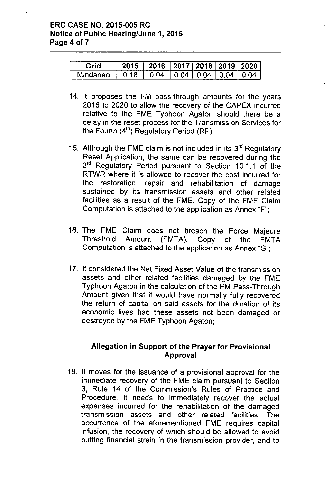# ERC CASE NO. 2015-005 RC Notice of Public Hearing/June 1, 2015 Page 4 of 7

|       | -26 | 2016 2017 2018 2019 2020 |    |    |  |
|-------|-----|--------------------------|----|----|--|
| lanao |     | 14                       | ٦Δ | ıд |  |

- 14. It proposes the FM pass-through amounts for the years 2016 to 2020 to allow the recovery of the CAPEX incurred relative to the FME Typhoon Agaton should there be a delay in the reset process for the Transmission Services for the Fourth (4'h) Regulatory Period (RP);
- 15. Although the FME claim is not included in its 3<sup>rd</sup> Regulatory Reset Application, the same can be recovered during the  $3<sup>rd</sup>$  Regulatory Period pursuant to Section 10.1.1 of the RTWR where it is allowed to recover the cost incurred for the restoration, repair and rehabilitation of damage sustained by its transmission assets and other related facilities as a result of the FME. Copy of the FME Claim Computation is attached to the application as Annex "F";
- 16. The FME Claim does not breach the Force Majeure Threshold Amount (FMTA). Copy of the FMTA Computation is attached to the application as Annex "G";
- 17. It considered the Net Fixed Asset Value of the transmission assets and other related facilities damaged by the FME Typhoon Agaton in the calculation of the FM Pass-Through Amount given that it would have normally fully recovered the return of capital on said assets for the duration of its economic lives had these assets not been damaged or destroyed by the FME Typhoon Agaton;

# Allegation in Support of the Prayer for Provisional Approval

18. It moves for the issuance of a provisional approval for the immediate recovery of the FME claim pursuant to Section 3, Rule 14 of the Commission's Rules of Practice and Procedure. It needs to immediately recover the actual expenses incurred for the rehabilitation of the damaged transmission assets and other related facilities. The occurrence of the aforementioned FME requires capital infusion, the recovery of which should be allowed to avoid putting financial strain in the transmission provider, and to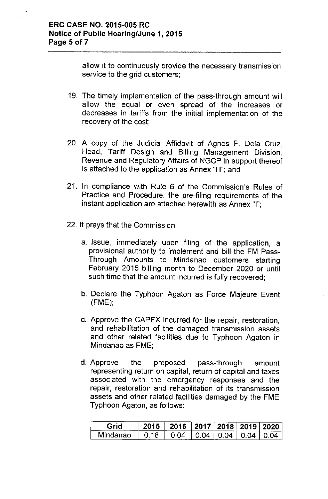allow it to continuously provide the necessary transmission service to the grid customers;

- 19. The timely implementation of the pass-through amount will allow the equal or even spread of the increases or decreases in tariffs from the initial implementation of the recovery of the cost;
- 20. A copy of the Judicial Affidavit of Agnes F. Dela Cruz, Head, Tariff Design and Billing Management Division, Revenue and Regulatory Affairs of NGCP in support thereof is attached to the application as Annex "H"; and
- 21. In compliance with Rule 6 of the Commission's Rules of Practice and Procedure, the pre-filing requirements of the instant application are attached herewith as Annex "1";
- 22. It prays that the Commission:
	- a. Issue, immediately upon filing of the application, a provisional authority to implement and bill the FM Pass-Through Amounts to Mindanao customers starting February 2015 billing month to December 2020 or until such time that the amount incurred is fully recovered;
	- b. Declare the Typhoon Agaton as Force Majeure Event (FME);
	- c. Approve the CAPEX incurred for the repair, restoration, and rehabilitation of the damaged transmission assets and other related facilities due to Typhoon Agaton in Mindanao as FME;
	- d. Approve the proposed pass-through amount representing return on capital, return of capital and taxes associated with the emergency responses and the repair, restoration and rehabilitation of its transmission assets and other related facilities damaged by the FME Typhoon Agaton, as follows:

|       | 2016 | ⊧ 2017   2018   2019   2020 |  |
|-------|------|-----------------------------|--|
| danao | Μ    | Μ                           |  |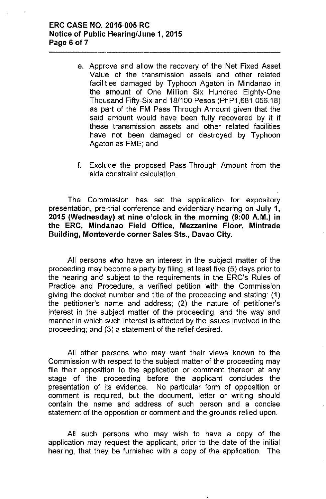- e. Approve and allow the recovery of the Net Fixed Asset Value of the transmission assets and other related facilities damaged by Typhoon Agaton in Mindanao in the amount of One Million Six Hundred Eighty-One Thousand Fifty-Six and 18/100 Pesos (PhP1 ,681,056.18) as part of the FM Pass Through Amount given that the said amount would have been fully recovered by it if these transmission assets and other related facilities have not been damaged or destroyed by Typhoon Agaton as FME; and
- f. Exclude the proposed Pass-Through Amount from the side constraint calculation.

The Commission has set the application for expository presentation, pre-trial conference and evidentiary hearing on July 1, 2015 (Wednesday) at nine o'clock in the morning (9:00 A.M.) in the ERC, Mindanao Field Office, Mezzanine Floor, Mintrade Building, Monteverde corner Sales Sts., Davao City.

All persons who have an interest in the subject matter of the proceeding may become a party by filing, at least five (5) days prior to the hearing and subject to the requirements in the ERC's Rules of Practice and Procedure, a verified petition with the Commission giving the docket number and title of the proceeding and stating: (1) the petitioner's name and address; (2) the nature of petitioner's interest in the subject matter of the proceeding, and the way and manner in which such interest is affected by the issues involved in the proceeding; and (3) a statement of the relief desired.

All other persons who may want their views known to the Commission with respect to the subject matter of the proceeding may file their opposition to the application or comment thereon at any stage of the proceeding before the applicant concludes the presentation of its evidence. No particular form of opposition or comment is required, but the document, letter or writing should contain the name and address of such person and a concise statement of the opposition or comment and the grounds relied upon.

All such persons who may wish to have a copy of the application may request the applicant, prior to the date of the initial hearing, that they be furnished with a copy of the application. The